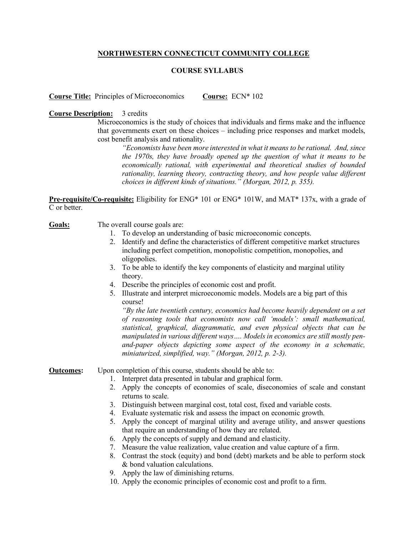# **NORTHWESTERN CONNECTICUT COMMUNITY COLLEGE**

## **COURSE SYLLABUS**

**Course Title:** Principles of Microeconomics **Course:** ECN\* 102

### **Course Description:** 3 credits

Microeconomics is the study of choices that individuals and firms make and the influence that governments exert on these choices – including price responses and market models, cost benefit analysis and rationality.

*"Economists have been more interested in what it means to be rational. And, since the 1970s, they have broadly opened up the question of what it means to be economically rational, with experimental and theoretical studies of bounded rationality, learning theory, contracting theory, and how people value different choices in different kinds of situations." (Morgan, 2012, p. 355).*

**Pre-requisite/Co-requisite:** Eligibility for ENG\* 101 or ENG\* 101W, and MAT\* 137x, with a grade of C or better.

#### **Goals:** The overall course goals are:

- 1. To develop an understanding of basic microeconomic concepts.
- 2. Identify and define the characteristics of different competitive market structures including perfect competition, monopolistic competition, monopolies, and oligopolies.
- 3. To be able to identify the key components of elasticity and marginal utility theory.
- 4. Describe the principles of economic cost and profit.
- 5. Illustrate and interpret microeconomic models. Models are a big part of this course!

*"By the late twentieth century, economics had become heavily dependent on a set of reasoning tools that economists now call 'models': small mathematical, statistical, graphical, diagrammatic, and even physical objects that can be manipulated in various different ways…. Models in economics are still mostly penand-paper objects depicting some aspect of the economy in a schematic, miniaturized, simplified, way." (Morgan, 2012, p. 2-3).*

#### **Outcomes:** Upon completion of this course, students should be able to:

- 1. Interpret data presented in tabular and graphical form.
- 2. Apply the concepts of economies of scale, diseconomies of scale and constant returns to scale.
- 3. Distinguish between marginal cost, total cost, fixed and variable costs.
- 4. Evaluate systematic risk and assess the impact on economic growth.
- 5. Apply the concept of marginal utility and average utility, and answer questions that require an understanding of how they are related.
- 6. Apply the concepts of supply and demand and elasticity.
- 7. Measure the value realization, value creation and value capture of a firm.
- 8. Contrast the stock (equity) and bond (debt) markets and be able to perform stock & bond valuation calculations.
- 9. Apply the law of diminishing returns.
- 10. Apply the economic principles of economic cost and profit to a firm.